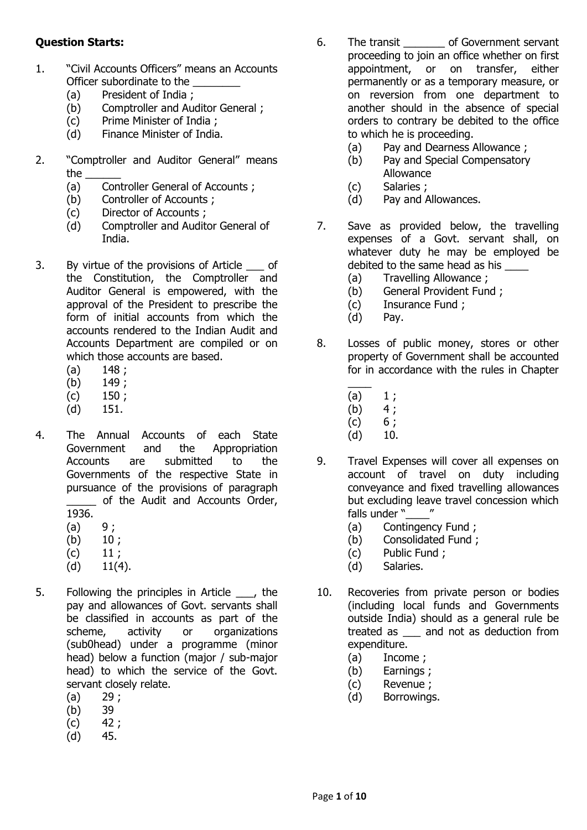## **Question Starts:**

- 1. "Civil Accounts Officers" means an Accounts Officer subordinate to the
	- (a) President of India ;
	- (b) Comptroller and Auditor General ;
	- (c) Prime Minister of India ;
	- (d) Finance Minister of India.
- 2. "Comptroller and Auditor General" means the \_\_\_\_\_\_
	- (a) Controller General of Accounts ;
	- (b) Controller of Accounts ;
	- (c) Director of Accounts ;
	- (d) Comptroller and Auditor General of India.
- 3. By virtue of the provisions of Article of the Constitution, the Comptroller and Auditor General is empowered, with the approval of the President to prescribe the form of initial accounts from which the accounts rendered to the Indian Audit and Accounts Department are compiled or on which those accounts are based.
	- $(a)$  148;
	- $(b)$  149;
	- $(c)$  150;
	- (d) 151.
- 4. The Annual Accounts of each State Government and the Appropriation Accounts are submitted to the Governments of the respective State in pursuance of the provisions of paragraph of the Audit and Accounts Order, 1936.
	- $(a) 9;$
	- $(b)$  10;
	- $(c)$  11;
	- $(d)$  11(4).
- 5. Following the principles in Article \_\_\_, the pay and allowances of Govt. servants shall be classified in accounts as part of the scheme, activity or organizations (sub0head) under a programme (minor head) below a function (major / sub-major head) to which the service of the Govt. servant closely relate.
	- $(a) 29:$
	- (b) 39
	- $(c)$  42;
	- (d) 45.
- 6. The transit \_\_\_\_\_\_\_ of Government servant proceeding to join an office whether on first appointment, or on transfer, either permanently or as a temporary measure, or on reversion from one department to another should in the absence of special orders to contrary be debited to the office to which he is proceeding.
	- (a) Pay and Dearness Allowance ;
	- (b) Pay and Special Compensatory Allowance
	- (c) Salaries ;
	- (d) Pay and Allowances.
- 7. Save as provided below, the travelling expenses of a Govt. servant shall, on whatever duty he may be employed be debited to the same head as his
	- (a) Travelling Allowance ;
	- (b) General Provident Fund ;
	- (c) Insurance Fund ;
	- (d) Pay.
- 8. Losses of public money, stores or other property of Government shall be accounted for in accordance with the rules in Chapter
	- $\overline{\phantom{a}}$
	- (a)  $1 ;$ <br>(b)  $4 ;$  $(b)$
	- $(c) 6;$
	- $(d)$  10.
- 9. Travel Expenses will cover all expenses on account of travel on duty including conveyance and fixed travelling allowances but excluding leave travel concession which falls under  $\sqrt[n]{\ }$  "
	- (a) Contingency Fund ;
	- (b) Consolidated Fund ;
	- (c) Public Fund ;
	- (d) Salaries.
- 10. Recoveries from private person or bodies (including local funds and Governments outside India) should as a general rule be treated as \_\_\_ and not as deduction from expenditure.
	- (a) Income ;
	- (b) Earnings ;
	- (c) Revenue ;
	- (d) Borrowings.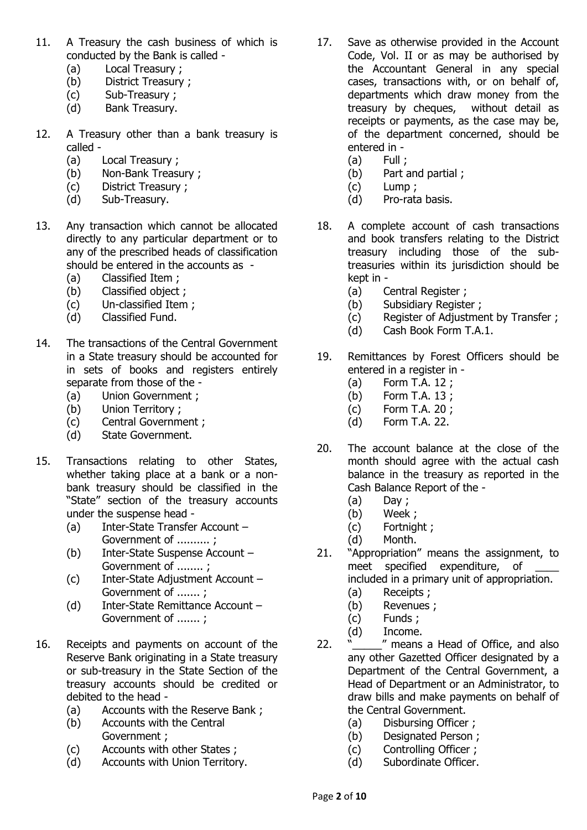- 11. A Treasury the cash business of which is conducted by the Bank is called -
	- (a) Local Treasury ;
	- (b) District Treasury ;
	- (c) Sub-Treasury ;
	- (d) Bank Treasury.
- 12. A Treasury other than a bank treasury is called -
	- (a) Local Treasury ;
	- (b) Non-Bank Treasury ;
	- (c) District Treasury ;
	- (d) Sub-Treasury.
- 13. Any transaction which cannot be allocated directly to any particular department or to any of the prescribed heads of classification should be entered in the accounts as -
	- (a) Classified Item ;
	- (b) Classified object ;
	- (c) Un-classified Item ;
	- (d) Classified Fund.
- 14. The transactions of the Central Government in a State treasury should be accounted for in sets of books and registers entirely separate from those of the -
	- (a) Union Government ;
	- (b) Union Territory ;
	- (c) Central Government ;
	- (d) State Government.
- 15. Transactions relating to other States, whether taking place at a bank or a nonbank treasury should be classified in the "State" section of the treasury accounts under the suspense head -
	- (a) Inter-State Transfer Account Government of .......... ;
	- (b) Inter-State Suspense Account Government of ........ ;
	- (c) Inter-State Adjustment Account Government of ....... ;
	- (d) Inter-State Remittance Account Government of ....... ;
- 16. Receipts and payments on account of the Reserve Bank originating in a State treasury or sub-treasury in the State Section of the treasury accounts should be credited or debited to the head -
	- (a) Accounts with the Reserve Bank ;
	- (b) Accounts with the Central Government ;
	- (c) Accounts with other States ;
	- (d) Accounts with Union Territory.
- 17. Save as otherwise provided in the Account Code, Vol. II or as may be authorised by the Accountant General in any special cases, transactions with, or on behalf of, departments which draw money from the treasury by cheques, without detail as receipts or payments, as the case may be, of the department concerned, should be entered in -
	- $(a)$  Full ;
	- (b) Part and partial ;
	- (c) Lump ;
	- (d) Pro-rata basis.
- 18. A complete account of cash transactions and book transfers relating to the District treasury including those of the subtreasuries within its jurisdiction should be kept in -
	- (a) Central Register ;
	- (b) Subsidiary Register ;
	- (c) Register of Adjustment by Transfer ;
	- (d) Cash Book Form T.A.1.
- 19. Remittances by Forest Officers should be entered in a register in -
	- (a) Form T.A. 12 ;
	- (b) Form T.A. 13 ;
	- (c) Form T.A. 20 ;
	- (d) Form T.A. 22.
- 20. The account balance at the close of the month should agree with the actual cash balance in the treasury as reported in the Cash Balance Report of the -
	- $(a)$  Day;
	- (b) Week ;
	- (c) Fortnight ;
	- (d) Month.
- 21. "Appropriation" means the assignment, to meet specified expenditure, of included in a primary unit of appropriation.
	- (a) Receipts ;
	- (b) Revenues ;
	- (c) Funds ;
	- (d) Income.
- 22. " *"* means a Head of Office, and also any other Gazetted Officer designated by a Department of the Central Government, a Head of Department or an Administrator, to draw bills and make payments on behalf of the Central Government.
	- (a) Disbursing Officer ;
	- (b) Designated Person ;
	- (c) Controlling Officer ;
	- (d) Subordinate Officer.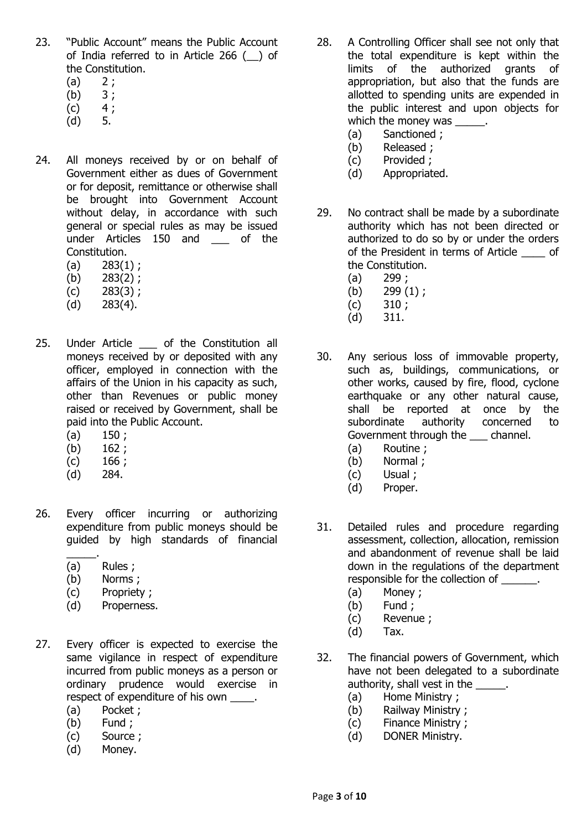- 23. "Public Account" means the Public Account of India referred to in Article 266 (\_\_) of the Constitution.
	- $(a) 2;$
	- $(b) 3;$
	- $(c) 4;$
	- (d) 5.
- 24. All moneys received by or on behalf of Government either as dues of Government or for deposit, remittance or otherwise shall be brought into Government Account without delay, in accordance with such general or special rules as may be issued under Articles 150 and of the Constitution.
	- $(a)$  283 $(1)$ ;
	- (b) 283(2) ;
	- $(c)$  283(3);
	- $(d)$  283 $(4)$ .
- 25. Under Article \_\_\_ of the Constitution all moneys received by or deposited with any officer, employed in connection with the affairs of the Union in his capacity as such, other than Revenues or public money raised or received by Government, shall be paid into the Public Account.
	- $(a)$  150;
	- (b) 162 ;
	- $(c)$  166 ;
	- (d) 284.
- 26. Every officer incurring or authorizing expenditure from public moneys should be guided by high standards of financial
	- \_\_\_\_\_. (a) Rules ;
	- (b) Norms ;
	- (c) Propriety ;
	- (d) Properness.
- 27. Every officer is expected to exercise the same vigilance in respect of expenditure incurred from public moneys as a person or ordinary prudence would exercise in respect of expenditure of his own  $\qquad \qquad$ .
	- (a) Pocket ;
	- (b) Fund ;
	- (c) Source ;
	- (d) Money.
- 28. A Controlling Officer shall see not only that the total expenditure is kept within the limits of the authorized grants of appropriation, but also that the funds are allotted to spending units are expended in the public interest and upon objects for which the money was
	- (a) Sanctioned ;
	- (b) Released ;
	- (c) Provided ;
	- (d) Appropriated.
- 29. No contract shall be made by a subordinate authority which has not been directed or authorized to do so by or under the orders of the President in terms of Article \_\_\_\_ of the Constitution.
	- (a) 299 ;
	- (b) 299 (1);
	- $(c)$  310;
	- (d) 311.
- 30. Any serious loss of immovable property, such as, buildings, communications, or other works, caused by fire, flood, cyclone earthquake or any other natural cause, shall be reported at once by the subordinate authority concerned to Government through the \_\_\_ channel.
	- (a) Routine ;
	- (b) Normal ;
	- (c) Usual ;
	- (d) Proper.
- 31. Detailed rules and procedure regarding assessment, collection, allocation, remission and abandonment of revenue shall be laid down in the regulations of the department responsible for the collection of  $\qquad \qquad$ .
	- (a) Money ;
	- (b) Fund ;
	- (c) Revenue ;
	- (d) Tax.
- 32. The financial powers of Government, which have not been delegated to a subordinate authority, shall vest in the \_\_\_\_\_.
	- (a) Home Ministry ;
	- (b) Railway Ministry ;
	- (c) Finance Ministry ;
	- (d) DONER Ministry.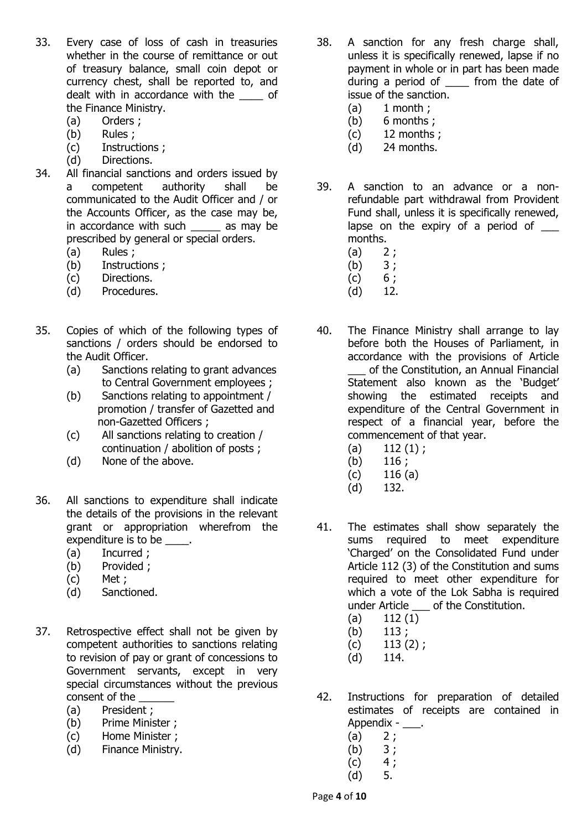- 33. Every case of loss of cash in treasuries whether in the course of remittance or out of treasury balance, small coin depot or currency chest, shall be reported to, and dealt with in accordance with the \_\_\_\_ of the Finance Ministry.
	- (a) Orders ;
	- (b) Rules ;
	- (c) Instructions ;
	- (d) Directions.
- 34. All financial sanctions and orders issued by a competent authority shall be communicated to the Audit Officer and / or the Accounts Officer, as the case may be, in accordance with such \_\_\_\_\_ as may be prescribed by general or special orders.
	- (a) Rules ;
	- (b) Instructions ;
	- (c) Directions.
	- (d) Procedures.
- 35. Copies of which of the following types of sanctions / orders should be endorsed to the Audit Officer.
	- (a) Sanctions relating to grant advances to Central Government employees ;
	- (b) Sanctions relating to appointment / promotion / transfer of Gazetted and non-Gazetted Officers ;
	- (c) All sanctions relating to creation / continuation / abolition of posts ;
	- (d) None of the above.
- 36. All sanctions to expenditure shall indicate the details of the provisions in the relevant grant or appropriation wherefrom the expenditure is to be  $\qquad$ .
	- (a) Incurred ;
	- (b) Provided ;
	- (c) Met ;
	- (d) Sanctioned.
- 37. Retrospective effect shall not be given by competent authorities to sanctions relating to revision of pay or grant of concessions to Government servants, except in very special circumstances without the previous consent of the
	- (a) President ;
	- (b) Prime Minister ;
	- (c) Home Minister ;
	- (d) Finance Ministry.
- 38. A sanction for any fresh charge shall, unless it is specifically renewed, lapse if no payment in whole or in part has been made during a period of \_\_\_\_ from the date of issue of the sanction.
	- $(a)$  1 month ;
	- (b) 6 months ;
	- $(c)$  12 months;
	- (d) 24 months.
- 39. A sanction to an advance or a nonrefundable part withdrawal from Provident Fund shall, unless it is specifically renewed, lapse on the expiry of a period of  $\qquad$ months.
	- $(a) 2;$
	- (b) 3 ;
	- $(c) 6;$
	- (d) 12.
- 40. The Finance Ministry shall arrange to lay before both the Houses of Parliament, in accordance with the provisions of Article of the Constitution, an Annual Financial Statement also known as the 'Budget' showing the estimated receipts and expenditure of the Central Government in respect of a financial year, before the commencement of that year.
	- $(a)$  112  $(1)$ ;
	- $(b)$  116 ;
	- $(c)$  116 (a)
	- (d) 132.
- 41. The estimates shall show separately the sums required to meet expenditure 'Charged' on the Consolidated Fund under Article 112 (3) of the Constitution and sums required to meet other expenditure for which a vote of the Lok Sabha is required under Article \_\_\_ of the Constitution.
	- (a) 112 (1)
	- $(b)$  113;
	- $(c)$  113 (2);
	- (d) 114.
- 42. Instructions for preparation of detailed estimates of receipts are contained in Appendix - \_\_\_.
	- $(a) 2;$
	- $(b) 3;$
	- $(c) 4;$
	- (d) 5.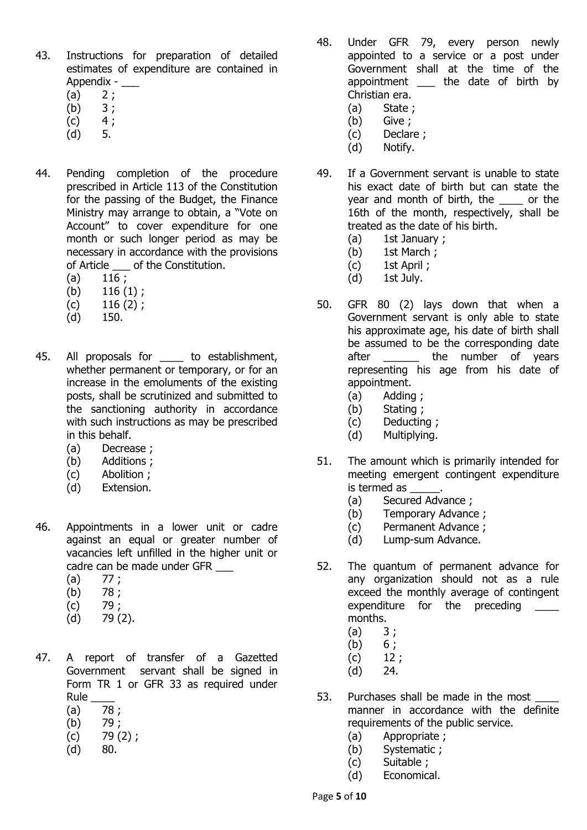- 43. Instructions for preparation of detailed estimates of expenditure are contained in Appendix - \_\_\_
	- $(a) 2;$
	- (b) 3 ;
	- $(c) 4;$
	- (d) 5.
- 44. Pending completion of the procedure prescribed in Article 113 of the Constitution for the passing of the Budget, the Finance Ministry may arrange to obtain, a "Vote on Account" to cover expenditure for one month or such longer period as may be necessary in accordance with the provisions of Article \_\_\_ of the Constitution.
	- $(a)$  116 ;
	- $(b)$  116  $(1)$ ;
	- $(c)$  116  $(2)$ ;
	- (d) 150.
- 45. All proposals for \_\_\_\_\_ to establishment, whether permanent or temporary, or for an increase in the emoluments of the existing posts, shall be scrutinized and submitted to the sanctioning authority in accordance with such instructions as may be prescribed in this behalf.
	- (a) Decrease ;
	- (b) Additions ;
	- (c) Abolition ;
	- (d) Extension.
- 46. Appointments in a lower unit or cadre against an equal or greater number of vacancies left unfilled in the higher unit or cadre can be made under GFR
	- $(a)$  77;
	- $(b)$  78;
	- $(c)$  79 ;
	- (d) 79 (2).
- 47. A report of transfer of a Gazetted Government servant shall be signed in Form TR 1 or GFR 33 as required under Rule
	- $(a) 78;$
	- (b) 79 ;
	- $(c)$  79 $(2)$ ;
	- (d) 80.
- 48. Under GFR 79, every person newly appointed to a service or a post under Government shall at the time of the appointment \_\_\_ the date of birth by Christian era.
	- (a) State ;
	- (b) Give ;
	- (c) Declare ;
	- (d) Notify.
- 49. If a Government servant is unable to state his exact date of birth but can state the year and month of birth, the \_\_\_\_ or the 16th of the month, respectively, shall be treated as the date of his birth.
	- (a) 1st January ;
	- (b) 1st March ;
	- (c) 1st April ;
	- (d) 1st July.
- 50. GFR 80 (2) lays down that when a Government servant is only able to state his approximate age, his date of birth shall be assumed to be the corresponding date after **the number** of years representing his age from his date of appointment.
	- (a) Adding ;
	- (b) Stating ;
	- (c) Deducting ;
	- (d) Multiplying.
- 51. The amount which is primarily intended for meeting emergent contingent expenditure is termed as  $\qquad \qquad$ .
	- (a) Secured Advance ;
	- (b) Temporary Advance ;
	- (c) Permanent Advance ;
	- (d) Lump-sum Advance.
- 52. The quantum of permanent advance for any organization should not as a rule exceed the monthly average of contingent expenditure for the preceding months.
	- $(a) 3;$
	- $(b) 6$  ;
	- $(c)$  12 ;
	- (d) 24.
- 53. Purchases shall be made in the most manner in accordance with the definite requirements of the public service.
	- (a) Appropriate ;
	- (b) Systematic ;
	- (c) Suitable ;
	- (d) Economical.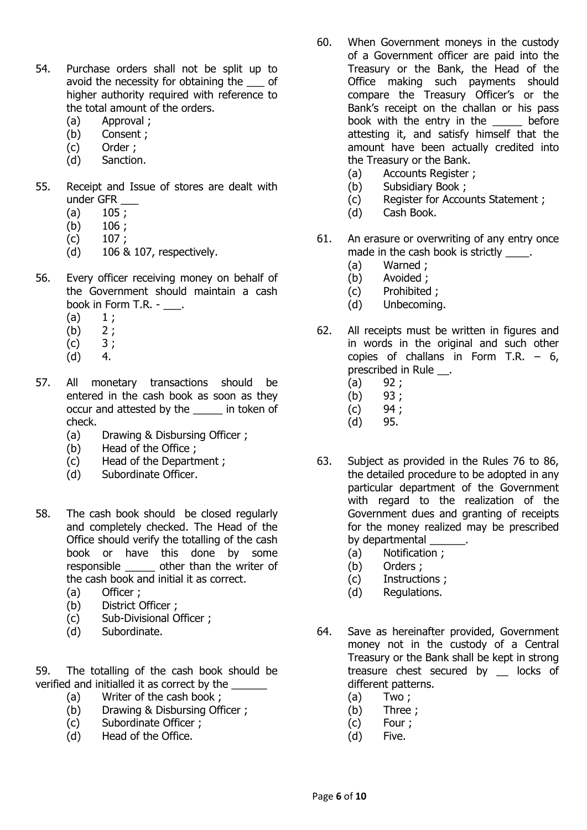- 54. Purchase orders shall not be split up to avoid the necessity for obtaining the of higher authority required with reference to the total amount of the orders.
	- (a) Approval ;
	- (b) Consent ;
	- (c) Order ;
	- (d) Sanction.
- 55. Receipt and Issue of stores are dealt with under GFR \_\_\_
	- $(a)$  105 :
	- (b) 106 ;
	- (c) 107 ;
	- (d) 106 & 107, respectively.
- 56. Every officer receiving money on behalf of the Government should maintain a cash book in Form T.R. - \_\_\_.
	- $(a) 1;$
	- $(b) 2;$
	- $(c) 3;$
	- (d) 4.
- 57. All monetary transactions should be entered in the cash book as soon as they occur and attested by the \_\_\_\_\_ in token of check.
	- (a) Drawing & Disbursing Officer ;
	- (b) Head of the Office ;
	- (c) Head of the Department ;
	- (d) Subordinate Officer.
- 58. The cash book should be closed regularly and completely checked. The Head of the Office should verify the totalling of the cash book or have this done by some responsible other than the writer of the cash book and initial it as correct.
	- (a) Officer ;
	- (b) District Officer ;
	- (c) Sub-Divisional Officer ;
	- (d) Subordinate.

59. The totalling of the cash book should be verified and initialled it as correct by the

- (a) Writer of the cash book ;
- (b) Drawing & Disbursing Officer ;
- (c) Subordinate Officer ;
- (d) Head of the Office.
- 60. When Government moneys in the custody of a Government officer are paid into the Treasury or the Bank, the Head of the Office making such payments should compare the Treasury Officer's or the Bank's receipt on the challan or his pass book with the entry in the before attesting it, and satisfy himself that the amount have been actually credited into the Treasury or the Bank.
	- (a) Accounts Register ;
	- (b) Subsidiary Book ;
	- (c) Register for Accounts Statement ;
	- (d) Cash Book.
- 61. An erasure or overwriting of any entry once made in the cash book is strictly \_\_\_\_.
	- (a) Warned ;
	- (b) Avoided ;
	- (c) Prohibited ;
	- (d) Unbecoming.
- 62. All receipts must be written in figures and in words in the original and such other copies of challans in Form T.R.  $-6$ , prescribed in Rule .
	- $(a)$  92;
	- (b) 93 ;
	- $(c)$  94;
	- (d) 95.
- 63. Subject as provided in the Rules 76 to 86, the detailed procedure to be adopted in any particular department of the Government with regard to the realization of the Government dues and granting of receipts for the money realized may be prescribed by departmental \_\_\_\_\_\_\_.
	- (a) Notification ;
	- (b) Orders ;
	- (c) Instructions ;
	- (d) Regulations.
- 64. Save as hereinafter provided, Government money not in the custody of a Central Treasury or the Bank shall be kept in strong treasure chest secured by \_\_ locks of different patterns.
	- $(a)$  Two:
	- (b) Three ;
	- (c) Four ;
	- (d) Five.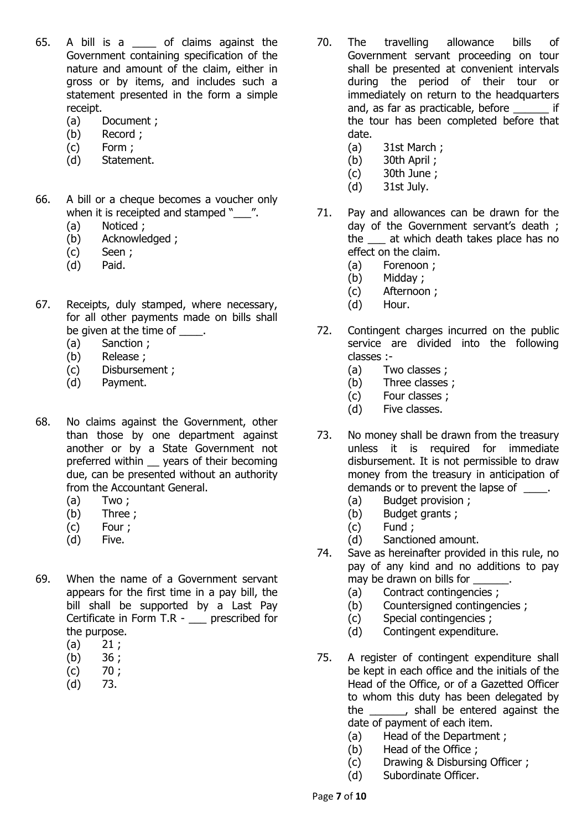- 65. A bill is a \_\_\_\_ of claims against the Government containing specification of the nature and amount of the claim, either in gross or by items, and includes such a statement presented in the form a simple receipt.
	- (a) Document ;
	- (b) Record ;
	- (c) Form ;
	- (d) Statement.
- 66. A bill or a cheque becomes a voucher only when it is receipted and stamped " \_\_\_ ".
	- (a) Noticed ;
	- (b) Acknowledged ;
	- (c) Seen ;
	- (d) Paid.
- 67. Receipts, duly stamped, where necessary, for all other payments made on bills shall be given at the time of  $\qquad \qquad$ .
	- (a) Sanction ;
	- (b) Release ;
	- (c) Disbursement ;
	- (d) Payment.
- 68. No claims against the Government, other than those by one department against another or by a State Government not preferred within years of their becoming due, can be presented without an authority from the Accountant General.
	- (a) Two ;
	- (b) Three ;
	- (c) Four ;
	- (d) Five.
- 69. When the name of a Government servant appears for the first time in a pay bill, the bill shall be supported by a Last Pay Certificate in Form T.R - \_\_\_ prescribed for the purpose.
	- $(a) 21$  ;
	- (b) 36 ;
	- $(c)$  70;
	- (d) 73.
- 70. The travelling allowance bills of Government servant proceeding on tour shall be presented at convenient intervals during the period of their tour or immediately on return to the headquarters and, as far as practicable, before if the tour has been completed before that date.
	- (a) 31st March ;
	- (b) 30th April ;
	- (c) 30th June ;
	- (d) 31st July.
- 71. Pay and allowances can be drawn for the day of the Government servant's death ; the at which death takes place has no effect on the claim.
	- (a) Forenoon ;
	- (b) Midday ;
	- (c) Afternoon ;
	- (d) Hour.
- 72. Contingent charges incurred on the public service are divided into the following classes :-
	- (a) Two classes ;
	- (b) Three classes ;
	- (c) Four classes ;
	- (d) Five classes.
- 73. No money shall be drawn from the treasury unless it is required for immediate disbursement. It is not permissible to draw money from the treasury in anticipation of demands or to prevent the lapse of \_\_\_\_\_.
	- (a) Budget provision ;
	- (b) Budget grants ;
	- (c) Fund ;
	- (d) Sanctioned amount.
- 74. Save as hereinafter provided in this rule, no pay of any kind and no additions to pay may be drawn on bills for
	- (a) Contract contingencies ;
	- (b) Countersigned contingencies ;
	- (c) Special contingencies ;
	- (d) Contingent expenditure.
- 75. A register of contingent expenditure shall be kept in each office and the initials of the Head of the Office, or of a Gazetted Officer to whom this duty has been delegated by the \_\_\_\_\_\_, shall be entered against the date of payment of each item.
	- (a) Head of the Department ;
	- (b) Head of the Office ;
	- (c) Drawing & Disbursing Officer ;
	- (d) Subordinate Officer.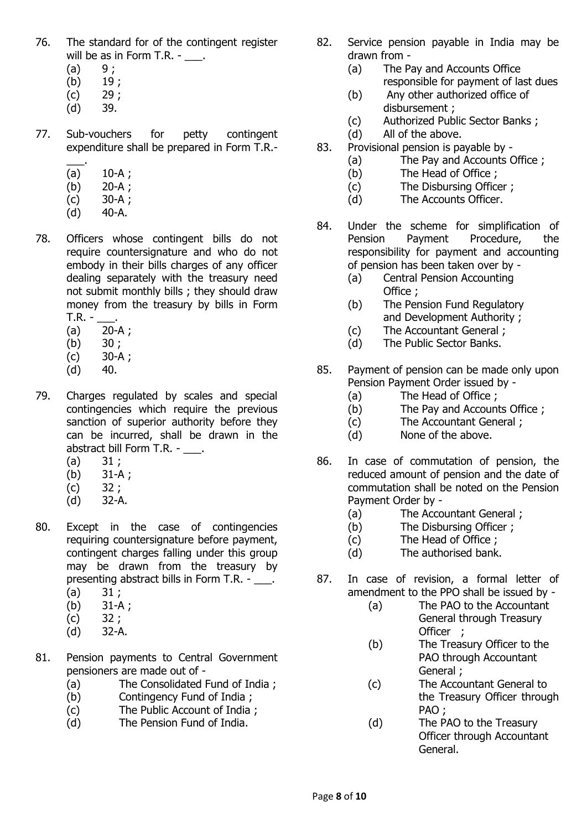- 76. The standard for of the contingent register will be as in Form T.R. - \_\_\_.
	- $(a) 9;$
	- $(b)$  19;
	- $(c)$  29;
	- (d) 39.
- 77. Sub-vouchers for petty contingent expenditure shall be prepared in Form T.R.-
	- \_\_\_.  $(a)$  10-A;
	- (b) 20-A ;
	- (c) 30-A ;
	- $(d)$  40-A.
- 78. Officers whose contingent bills do not require countersignature and who do not embody in their bills charges of any officer dealing separately with the treasury need not submit monthly bills ; they should draw money from the treasury by bills in Form  $T.R. -$ 
	- (a) 20-A ;
	- $(b) 30;$
	- (c) 30-A ;
	- $(d)$  40.
- 79. Charges regulated by scales and special contingencies which require the previous sanction of superior authority before they can be incurred, shall be drawn in the abstract bill Form T.R. - \_\_\_.
	- $(a) 31:$
	- (b) 31-A ;
	- $(c) 32;$
	- (d) 32-A.
- 80. Except in the case of contingencies requiring countersignature before payment, contingent charges falling under this group may be drawn from the treasury by presenting abstract bills in Form T.R. - \_\_\_.
	- $(a) 31;$
	- (b) 31-A ;
	- $(c) 32;$ (d) 32-A.
	-
- 81. Pension payments to Central Government pensioners are made out of -
	- (a) The Consolidated Fund of India ;
	- (b) Contingency Fund of India ;
	- (c) The Public Account of India ;
	- (d) The Pension Fund of India.
- 82. Service pension payable in India may be drawn from -
	- (a) The Pay and Accounts Office responsible for payment of last dues
	- (b) Any other authorized office of disbursement ;
	- (c) Authorized Public Sector Banks ;
	- (d) All of the above.
- 83. Provisional pension is payable by
	- (a) The Pay and Accounts Office ;
	- (b) The Head of Office ;
	- (c) The Disbursing Officer ;
	- (d) The Accounts Officer.
- 84. Under the scheme for simplification of Pension Payment Procedure, the responsibility for payment and accounting of pension has been taken over by -
	- (a) Central Pension Accounting Office ;
	- (b) The Pension Fund Regulatory and Development Authority ;
	- (c) The Accountant General ;
	- (d) The Public Sector Banks.
- 85. Payment of pension can be made only upon Pension Payment Order issued by -
	- (a) The Head of Office ;
	- (b) The Pay and Accounts Office ;
	- (c) The Accountant General ;
	- (d) None of the above.
- 86. In case of commutation of pension, the reduced amount of pension and the date of commutation shall be noted on the Pension Payment Order by -
	- (a) The Accountant General ;
	- (b) The Disbursing Officer ;
	- (c) The Head of Office ;
	- (d) The authorised bank.
- 87. In case of revision, a formal letter of amendment to the PPO shall be issued by -
	- (a) The PAO to the Accountant General through Treasury Officer ;
	- (b) The Treasury Officer to the PAO through Accountant General ;
	- (c) The Accountant General to the Treasury Officer through PAO ;
	- (d) The PAO to the Treasury Officer through Accountant General.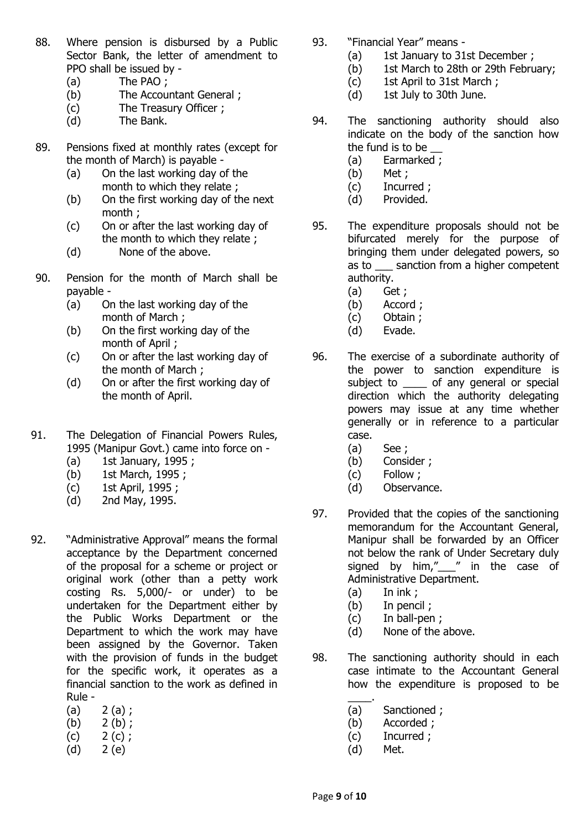- 88. Where pension is disbursed by a Public Sector Bank, the letter of amendment to PPO shall be issued by -
	- (a) The PAO ;
	- (b) The Accountant General ;
	- (c) The Treasury Officer ;
	- (d) The Bank.
- 89. Pensions fixed at monthly rates (except for the month of March) is payable -
	- (a) On the last working day of the month to which they relate ;
	- (b) On the first working day of the next month ;
	- (c) On or after the last working day of the month to which they relate ;
	- (d) None of the above.
- 90. Pension for the month of March shall be payable -
	- (a) On the last working day of the month of March ;
	- (b) On the first working day of the month of April ;
	- (c) On or after the last working day of the month of March ;
	- (d) On or after the first working day of the month of April.
- 91. The Delegation of Financial Powers Rules, 1995 (Manipur Govt.) came into force on -
	- $(a)$  1st January, 1995 ;
	- (b) 1st March, 1995 ;
	- (c) 1st April, 1995 ;
	- (d) 2nd May, 1995.
- 92. "Administrative Approval" means the formal acceptance by the Department concerned of the proposal for a scheme or project or original work (other than a petty work costing Rs. 5,000/- or under) to be undertaken for the Department either by the Public Works Department or the Department to which the work may have been assigned by the Governor. Taken with the provision of funds in the budget for the specific work, it operates as a financial sanction to the work as defined in Rule -
	- $(a) 2 (a)$ ;
	- (b)  $2(b)$ ;
	- $(c)$  2 (c);
	- (d) 2 (e)
- 93. "Financial Year" means
	- (a) 1st January to 31st December ;
	- (b) 1st March to 28th or 29th February;
	- (c) 1st April to 31st March ;
	- (d) 1st July to 30th June.
- 94. The sanctioning authority should also indicate on the body of the sanction how the fund is to be
	- (a) Earmarked ;
	- (b) Met ;
	- (c) Incurred ;
	- (d) Provided.
- 95. The expenditure proposals should not be bifurcated merely for the purpose of bringing them under delegated powers, so as to \_\_\_ sanction from a higher competent authority.
	- (a) Get ;
	- (b) Accord ;
	- (c) Obtain ;
	- (d) Evade.
- 96. The exercise of a subordinate authority of the power to sanction expenditure is subject to \_\_\_\_\_ of any general or special direction which the authority delegating powers may issue at any time whether generally or in reference to a particular case.
	- (a) See ;
	- (b) Consider ;
	- (c) Follow ;
	- (d) Observance.
- 97. Provided that the copies of the sanctioning memorandum for the Accountant General, Manipur shall be forwarded by an Officer not below the rank of Under Secretary duly signed by him," " in the case of Administrative Department.
	- (a) In ink ;
	- (b) In pencil ;
	- (c) In ball-pen ;
	- (d) None of the above.
- 98. The sanctioning authority should in each case intimate to the Accountant General how the expenditure is proposed to be
	- $\overline{\phantom{a}}$  . (a) Sanctioned ;
	- (b) Accorded ;
	- (c) Incurred ;
	- (d) Met.